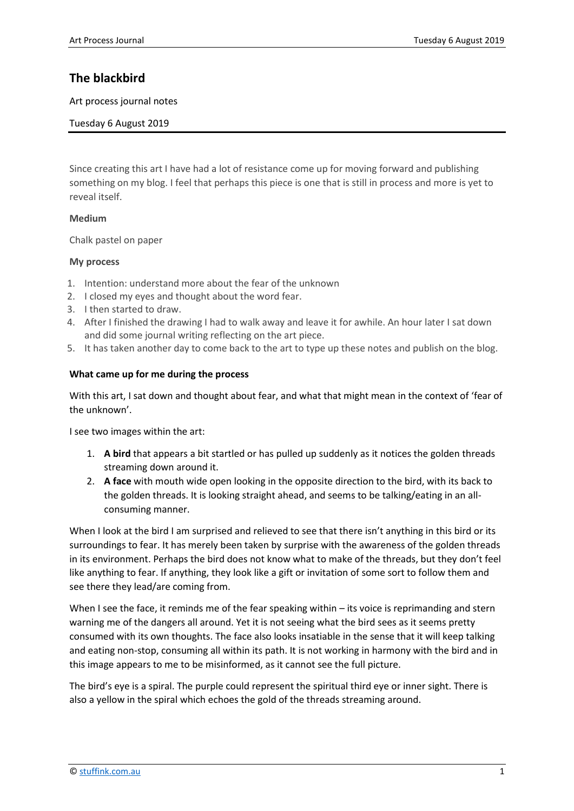# **The blackbird**

Art process journal notes

Tuesday 6 August 2019

Since creating this art I have had a lot of resistance come up for moving forward and publishing something on my blog. I feel that perhaps this piece is one that is still in process and more is yet to reveal itself.

# **Medium**

Chalk pastel on paper

# **My process**

- 1. Intention: understand more about the fear of the unknown
- 2. I closed my eyes and thought about the word fear.
- 3. I then started to draw.
- 4. After I finished the drawing I had to walk away and leave it for awhile. An hour later I sat down and did some journal writing reflecting on the art piece.
- 5. It has taken another day to come back to the art to type up these notes and publish on the blog.

# **What came up for me during the process**

With this art, I sat down and thought about fear, and what that might mean in the context of 'fear of the unknown'.

I see two images within the art:

- 1. **A bird** that appears a bit startled or has pulled up suddenly as it notices the golden threads streaming down around it.
- 2. **A face** with mouth wide open looking in the opposite direction to the bird, with its back to the golden threads. It is looking straight ahead, and seems to be talking/eating in an allconsuming manner.

When I look at the bird I am surprised and relieved to see that there isn't anything in this bird or its surroundings to fear. It has merely been taken by surprise with the awareness of the golden threads in its environment. Perhaps the bird does not know what to make of the threads, but they don't feel like anything to fear. If anything, they look like a gift or invitation of some sort to follow them and see there they lead/are coming from.

When I see the face, it reminds me of the fear speaking within – its voice is reprimanding and stern warning me of the dangers all around. Yet it is not seeing what the bird sees as it seems pretty consumed with its own thoughts. The face also looks insatiable in the sense that it will keep talking and eating non-stop, consuming all within its path. It is not working in harmony with the bird and in this image appears to me to be misinformed, as it cannot see the full picture.

The bird's eye is a spiral. The purple could represent the spiritual third eye or inner sight. There is also a yellow in the spiral which echoes the gold of the threads streaming around.